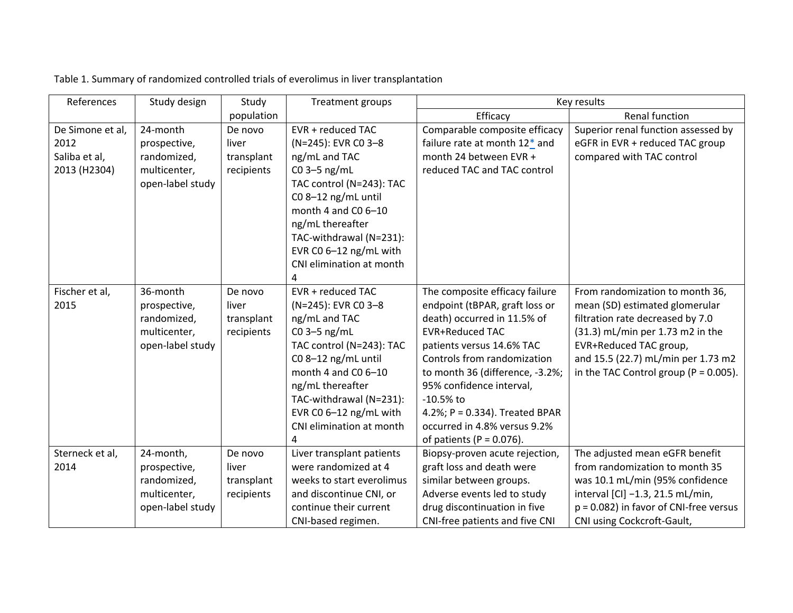| References       | Study design     | Study      | Treatment groups          | Key results                     |                                           |
|------------------|------------------|------------|---------------------------|---------------------------------|-------------------------------------------|
|                  |                  | population |                           | Efficacy                        | Renal function                            |
| De Simone et al, | 24-month         | De novo    | EVR + reduced TAC         | Comparable composite efficacy   | Superior renal function assessed by       |
| 2012             | prospective,     | liver      | (N=245): EVR CO 3-8       | failure rate at month 12* and   | eGFR in EVR + reduced TAC group           |
| Saliba et al,    | randomized,      | transplant | ng/mL and TAC             | month 24 between EVR +          | compared with TAC control                 |
| 2013 (H2304)     | multicenter,     | recipients | $CO$ 3-5 ng/mL            | reduced TAC and TAC control     |                                           |
|                  | open-label study |            | TAC control (N=243): TAC  |                                 |                                           |
|                  |                  |            | CO 8-12 ng/mL until       |                                 |                                           |
|                  |                  |            | month 4 and C0 6-10       |                                 |                                           |
|                  |                  |            | ng/mL thereafter          |                                 |                                           |
|                  |                  |            | TAC-withdrawal (N=231):   |                                 |                                           |
|                  |                  |            | EVR CO 6-12 ng/mL with    |                                 |                                           |
|                  |                  |            | CNI elimination at month  |                                 |                                           |
|                  |                  |            |                           |                                 |                                           |
| Fischer et al,   | 36-month         | De novo    | EVR + reduced TAC         | The composite efficacy failure  | From randomization to month 36,           |
| 2015             | prospective,     | liver      | (N=245): EVR CO 3-8       | endpoint (tBPAR, graft loss or  | mean (SD) estimated glomerular            |
|                  | randomized,      | transplant | ng/mL and TAC             | death) occurred in 11.5% of     | filtration rate decreased by 7.0          |
|                  | multicenter,     | recipients | $CO$ 3-5 ng/mL            | <b>EVR+Reduced TAC</b>          | (31.3) mL/min per 1.73 m2 in the          |
|                  | open-label study |            | TAC control (N=243): TAC  | patients versus 14.6% TAC       | EVR+Reduced TAC group,                    |
|                  |                  |            | C08-12 ng/mL until        | Controls from randomization     | and 15.5 (22.7) mL/min per 1.73 m2        |
|                  |                  |            | month 4 and C0 6-10       | to month 36 (difference, -3.2%; | in the TAC Control group ( $P = 0.005$ ). |
|                  |                  |            | ng/mL thereafter          | 95% confidence interval,        |                                           |
|                  |                  |            | TAC-withdrawal (N=231):   | $-10.5%$ to                     |                                           |
|                  |                  |            | EVR CO $6-12$ ng/mL with  | 4.2%; P = 0.334). Treated BPAR  |                                           |
|                  |                  |            | CNI elimination at month  | occurred in 4.8% versus 9.2%    |                                           |
|                  |                  |            |                           | of patients ( $P = 0.076$ ).    |                                           |
| Sterneck et al,  | 24-month,        | De novo    | Liver transplant patients | Biopsy-proven acute rejection,  | The adjusted mean eGFR benefit            |
| 2014             | prospective,     | liver      | were randomized at 4      | graft loss and death were       | from randomization to month 35            |
|                  | randomized,      | transplant | weeks to start everolimus | similar between groups.         | was 10.1 mL/min (95% confidence           |
|                  | multicenter,     | recipients | and discontinue CNI, or   | Adverse events led to study     | interval [CI] -1.3, 21.5 mL/min,          |
|                  | open-label study |            | continue their current    | drug discontinuation in five    | $p = 0.082$ ) in favor of CNI-free versus |
|                  |                  |            | CNI-based regimen.        | CNI-free patients and five CNI  | CNI using Cockcroft-Gault,                |

Table 1. Summary of randomized controlled trials of everolimus in liver transplantation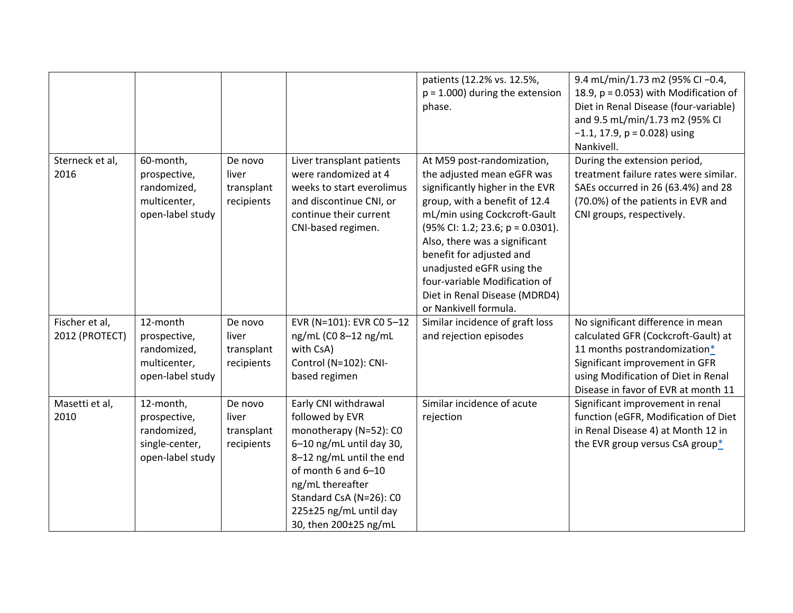|                 |                  |            |                           | patients (12.2% vs. 12.5%,          | 9.4 mL/min/1.73 m2 (95% CI-0.4,          |
|-----------------|------------------|------------|---------------------------|-------------------------------------|------------------------------------------|
|                 |                  |            |                           | $p = 1.000$ ) during the extension  | 18.9, $p = 0.053$ ) with Modification of |
|                 |                  |            |                           | phase.                              | Diet in Renal Disease (four-variable)    |
|                 |                  |            |                           |                                     | and 9.5 mL/min/1.73 m2 (95% CI           |
|                 |                  |            |                           |                                     | $-1.1$ , 17.9, p = 0.028) using          |
|                 |                  |            |                           |                                     | Nankivell.                               |
| Sterneck et al, | 60-month,        | De novo    | Liver transplant patients | At M59 post-randomization,          | During the extension period,             |
| 2016            | prospective,     | liver      | were randomized at 4      | the adjusted mean eGFR was          | treatment failure rates were similar.    |
|                 | randomized,      | transplant | weeks to start everolimus | significantly higher in the EVR     | SAEs occurred in 26 (63.4%) and 28       |
|                 | multicenter,     | recipients | and discontinue CNI, or   | group, with a benefit of 12.4       | (70.0%) of the patients in EVR and       |
|                 | open-label study |            | continue their current    | mL/min using Cockcroft-Gault        | CNI groups, respectively.                |
|                 |                  |            | CNI-based regimen.        | $(95\%$ Cl: 1.2; 23.6; p = 0.0301). |                                          |
|                 |                  |            |                           | Also, there was a significant       |                                          |
|                 |                  |            |                           | benefit for adjusted and            |                                          |
|                 |                  |            |                           | unadjusted eGFR using the           |                                          |
|                 |                  |            |                           | four-variable Modification of       |                                          |
|                 |                  |            |                           | Diet in Renal Disease (MDRD4)       |                                          |
|                 |                  |            |                           | or Nankivell formula.               |                                          |
| Fischer et al,  | 12-month         | De novo    | EVR (N=101): EVR C0 5-12  | Similar incidence of graft loss     | No significant difference in mean        |
| 2012 (PROTECT)  | prospective,     | liver      | ng/mL (C0 8-12 ng/mL      | and rejection episodes              | calculated GFR (Cockcroft-Gault) at      |
|                 | randomized,      | transplant | with CsA)                 |                                     | 11 months postrandomization*             |
|                 | multicenter,     | recipients | Control (N=102): CNI-     |                                     | Significant improvement in GFR           |
|                 | open-label study |            | based regimen             |                                     | using Modification of Diet in Renal      |
|                 |                  |            |                           |                                     | Disease in favor of EVR at month 11      |
| Masetti et al,  | 12-month,        | De novo    | Early CNI withdrawal      | Similar incidence of acute          | Significant improvement in renal         |
| 2010            | prospective,     | liver      | followed by EVR           | rejection                           | function (eGFR, Modification of Diet     |
|                 | randomized,      | transplant | monotherapy (N=52): CO    |                                     | in Renal Disease 4) at Month 12 in       |
|                 | single-center,   | recipients | 6-10 ng/mL until day 30,  |                                     | the EVR group versus CsA group*          |
|                 | open-label study |            | 8-12 ng/mL until the end  |                                     |                                          |
|                 |                  |            | of month 6 and 6-10       |                                     |                                          |
|                 |                  |            | ng/mL thereafter          |                                     |                                          |
|                 |                  |            | Standard CsA (N=26): CO   |                                     |                                          |
|                 |                  |            | 225±25 ng/mL until day    |                                     |                                          |
|                 |                  |            | 30, then 200±25 ng/mL     |                                     |                                          |